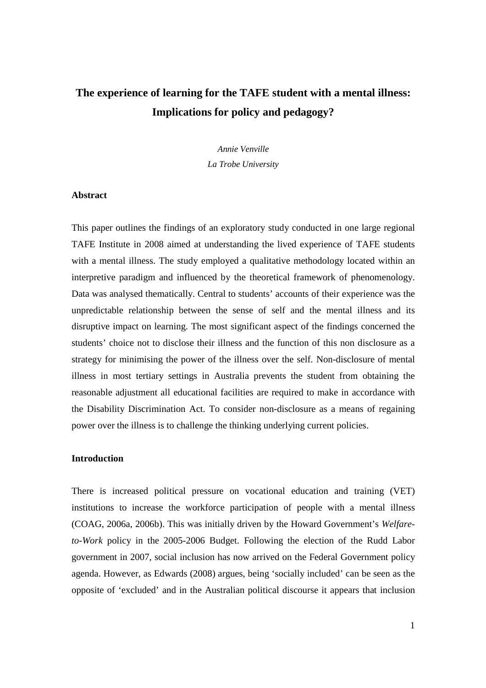# **The experience of learning for the TAFE student with a mental illness: Implications for policy and pedagogy?**

*Annie Venville La Trobe University* 

### **Abstract**

This paper outlines the findings of an exploratory study conducted in one large regional TAFE Institute in 2008 aimed at understanding the lived experience of TAFE students with a mental illness. The study employed a qualitative methodology located within an interpretive paradigm and influenced by the theoretical framework of phenomenology. Data was analysed thematically. Central to students' accounts of their experience was the unpredictable relationship between the sense of self and the mental illness and its disruptive impact on learning. The most significant aspect of the findings concerned the students' choice not to disclose their illness and the function of this non disclosure as a strategy for minimising the power of the illness over the self. Non-disclosure of mental illness in most tertiary settings in Australia prevents the student from obtaining the reasonable adjustment all educational facilities are required to make in accordance with the Disability Discrimination Act. To consider non-disclosure as a means of regaining power over the illness is to challenge the thinking underlying current policies.

## **Introduction**

There is increased political pressure on vocational education and training (VET) institutions to increase the workforce participation of people with a mental illness (COAG, 2006a, 2006b). This was initially driven by the Howard Government's *Welfareto-Work* policy in the 2005-2006 Budget. Following the election of the Rudd Labor government in 2007, social inclusion has now arrived on the Federal Government policy agenda. However, as Edwards (2008) argues, being 'socially included' can be seen as the opposite of 'excluded' and in the Australian political discourse it appears that inclusion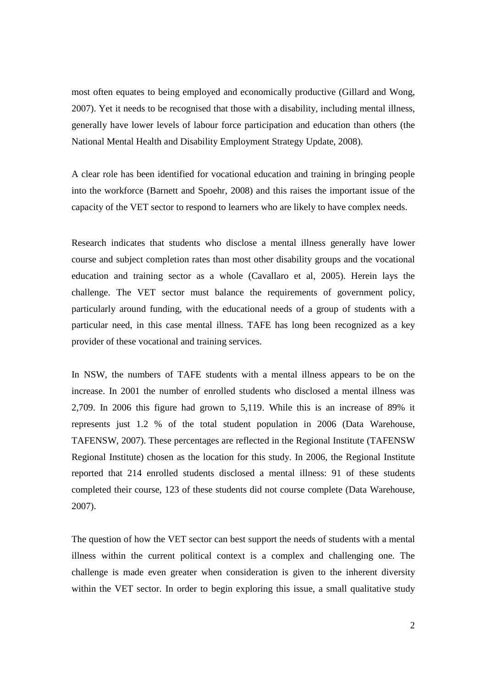most often equates to being employed and economically productive (Gillard and Wong, 2007). Yet it needs to be recognised that those with a disability, including mental illness, generally have lower levels of labour force participation and education than others (the National Mental Health and Disability Employment Strategy Update, 2008).

A clear role has been identified for vocational education and training in bringing people into the workforce (Barnett and Spoehr, 2008) and this raises the important issue of the capacity of the VET sector to respond to learners who are likely to have complex needs.

Research indicates that students who disclose a mental illness generally have lower course and subject completion rates than most other disability groups and the vocational education and training sector as a whole (Cavallaro et al, 2005). Herein lays the challenge. The VET sector must balance the requirements of government policy, particularly around funding, with the educational needs of a group of students with a particular need, in this case mental illness. TAFE has long been recognized as a key provider of these vocational and training services.

In NSW, the numbers of TAFE students with a mental illness appears to be on the increase. In 2001 the number of enrolled students who disclosed a mental illness was 2,709. In 2006 this figure had grown to 5,119. While this is an increase of 89% it represents just 1.2 % of the total student population in 2006 (Data Warehouse, TAFENSW, 2007). These percentages are reflected in the Regional Institute (TAFENSW Regional Institute) chosen as the location for this study. In 2006, the Regional Institute reported that 214 enrolled students disclosed a mental illness: 91 of these students completed their course, 123 of these students did not course complete (Data Warehouse, 2007).

The question of how the VET sector can best support the needs of students with a mental illness within the current political context is a complex and challenging one. The challenge is made even greater when consideration is given to the inherent diversity within the VET sector. In order to begin exploring this issue, a small qualitative study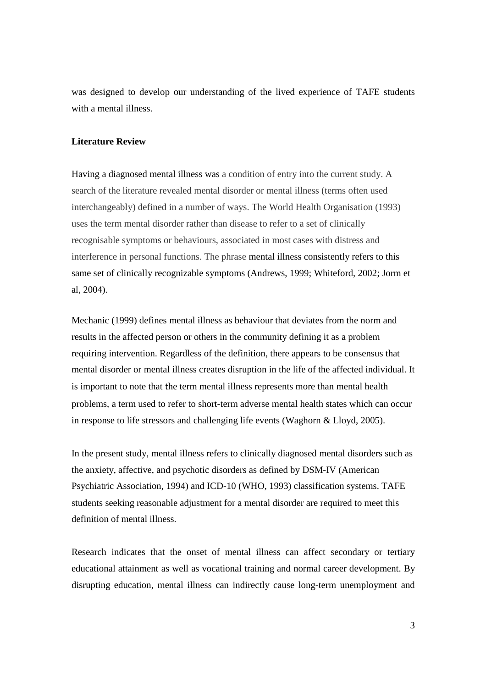was designed to develop our understanding of the lived experience of TAFE students with a mental illness.

## **Literature Review**

Having a diagnosed mental illness was a condition of entry into the current study. A search of the literature revealed mental disorder or mental illness (terms often used interchangeably) defined in a number of ways. The World Health Organisation (1993) uses the term mental disorder rather than disease to refer to a set of clinically recognisable symptoms or behaviours, associated in most cases with distress and interference in personal functions. The phrase mental illness consistently refers to this same set of clinically recognizable symptoms (Andrews, 1999; Whiteford, 2002; Jorm et al, 2004).

Mechanic (1999) defines mental illness as behaviour that deviates from the norm and results in the affected person or others in the community defining it as a problem requiring intervention. Regardless of the definition, there appears to be consensus that mental disorder or mental illness creates disruption in the life of the affected individual. It is important to note that the term mental illness represents more than mental health problems, a term used to refer to short-term adverse mental health states which can occur in response to life stressors and challenging life events (Waghorn & Lloyd, 2005).

In the present study, mental illness refers to clinically diagnosed mental disorders such as the anxiety, affective, and psychotic disorders as defined by DSM-IV (American Psychiatric Association, 1994) and ICD-10 (WHO, 1993) classification systems. TAFE students seeking reasonable adjustment for a mental disorder are required to meet this definition of mental illness.

Research indicates that the onset of mental illness can affect secondary or tertiary educational attainment as well as vocational training and normal career development. By disrupting education, mental illness can indirectly cause long-term unemployment and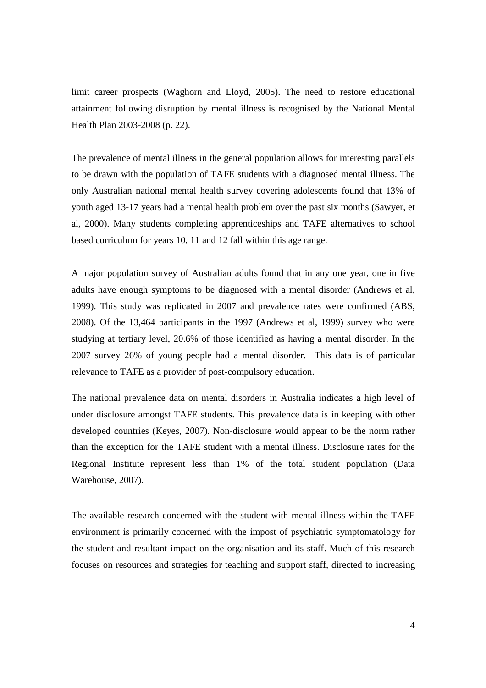limit career prospects (Waghorn and Lloyd, 2005). The need to restore educational attainment following disruption by mental illness is recognised by the National Mental Health Plan 2003-2008 (p. 22).

The prevalence of mental illness in the general population allows for interesting parallels to be drawn with the population of TAFE students with a diagnosed mental illness. The only Australian national mental health survey covering adolescents found that 13% of youth aged 13-17 years had a mental health problem over the past six months (Sawyer, et al, 2000). Many students completing apprenticeships and TAFE alternatives to school based curriculum for years 10, 11 and 12 fall within this age range.

A major population survey of Australian adults found that in any one year, one in five adults have enough symptoms to be diagnosed with a mental disorder (Andrews et al, 1999). This study was replicated in 2007 and prevalence rates were confirmed (ABS, 2008). Of the 13,464 participants in the 1997 (Andrews et al, 1999) survey who were studying at tertiary level, 20.6% of those identified as having a mental disorder. In the 2007 survey 26% of young people had a mental disorder. This data is of particular relevance to TAFE as a provider of post-compulsory education.

The national prevalence data on mental disorders in Australia indicates a high level of under disclosure amongst TAFE students. This prevalence data is in keeping with other developed countries (Keyes, 2007). Non-disclosure would appear to be the norm rather than the exception for the TAFE student with a mental illness. Disclosure rates for the Regional Institute represent less than 1% of the total student population (Data Warehouse, 2007).

The available research concerned with the student with mental illness within the TAFE environment is primarily concerned with the impost of psychiatric symptomatology for the student and resultant impact on the organisation and its staff. Much of this research focuses on resources and strategies for teaching and support staff, directed to increasing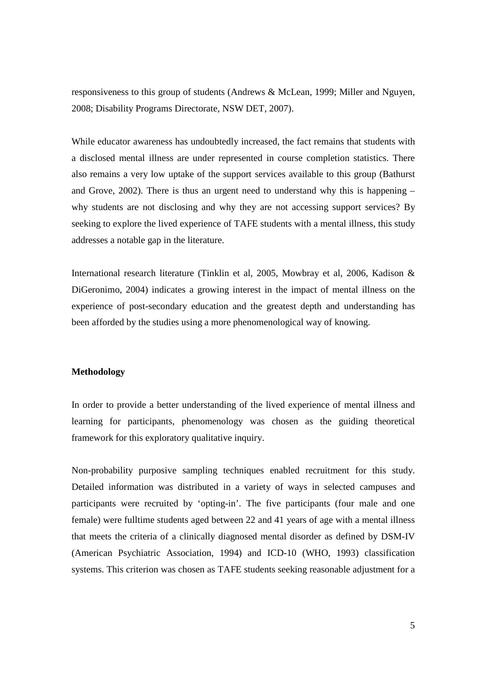responsiveness to this group of students (Andrews & McLean, 1999; Miller and Nguyen, 2008; Disability Programs Directorate, NSW DET, 2007).

While educator awareness has undoubtedly increased, the fact remains that students with a disclosed mental illness are under represented in course completion statistics. There also remains a very low uptake of the support services available to this group (Bathurst and Grove, 2002). There is thus an urgent need to understand why this is happening – why students are not disclosing and why they are not accessing support services? By seeking to explore the lived experience of TAFE students with a mental illness, this study addresses a notable gap in the literature.

International research literature (Tinklin et al, 2005, Mowbray et al, 2006, Kadison & DiGeronimo, 2004) indicates a growing interest in the impact of mental illness on the experience of post-secondary education and the greatest depth and understanding has been afforded by the studies using a more phenomenological way of knowing.

## **Methodology**

In order to provide a better understanding of the lived experience of mental illness and learning for participants, phenomenology was chosen as the guiding theoretical framework for this exploratory qualitative inquiry.

Non-probability purposive sampling techniques enabled recruitment for this study. Detailed information was distributed in a variety of ways in selected campuses and participants were recruited by 'opting-in'. The five participants (four male and one female) were fulltime students aged between 22 and 41 years of age with a mental illness that meets the criteria of a clinically diagnosed mental disorder as defined by DSM-IV (American Psychiatric Association, 1994) and ICD-10 (WHO, 1993) classification systems. This criterion was chosen as TAFE students seeking reasonable adjustment for a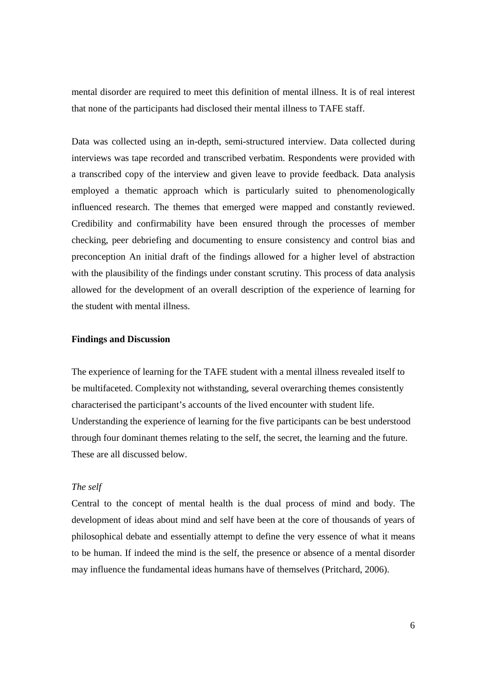mental disorder are required to meet this definition of mental illness. It is of real interest that none of the participants had disclosed their mental illness to TAFE staff.

Data was collected using an in-depth, semi-structured interview. Data collected during interviews was tape recorded and transcribed verbatim. Respondents were provided with a transcribed copy of the interview and given leave to provide feedback. Data analysis employed a thematic approach which is particularly suited to phenomenologically influenced research. The themes that emerged were mapped and constantly reviewed. Credibility and confirmability have been ensured through the processes of member checking, peer debriefing and documenting to ensure consistency and control bias and preconception An initial draft of the findings allowed for a higher level of abstraction with the plausibility of the findings under constant scrutiny. This process of data analysis allowed for the development of an overall description of the experience of learning for the student with mental illness.

## **Findings and Discussion**

The experience of learning for the TAFE student with a mental illness revealed itself to be multifaceted. Complexity not withstanding, several overarching themes consistently characterised the participant's accounts of the lived encounter with student life. Understanding the experience of learning for the five participants can be best understood through four dominant themes relating to the self, the secret, the learning and the future. These are all discussed below.

#### *The self*

Central to the concept of mental health is the dual process of mind and body. The development of ideas about mind and self have been at the core of thousands of years of philosophical debate and essentially attempt to define the very essence of what it means to be human. If indeed the mind is the self, the presence or absence of a mental disorder may influence the fundamental ideas humans have of themselves (Pritchard, 2006).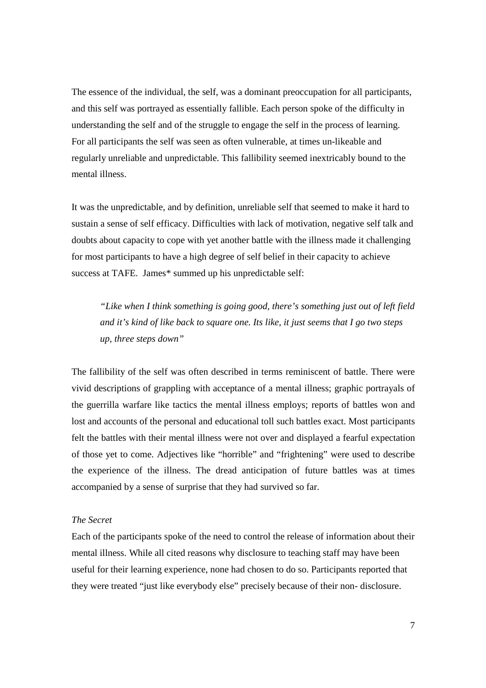The essence of the individual, the self, was a dominant preoccupation for all participants, and this self was portrayed as essentially fallible. Each person spoke of the difficulty in understanding the self and of the struggle to engage the self in the process of learning. For all participants the self was seen as often vulnerable, at times un-likeable and regularly unreliable and unpredictable. This fallibility seemed inextricably bound to the mental illness.

It was the unpredictable, and by definition, unreliable self that seemed to make it hard to sustain a sense of self efficacy. Difficulties with lack of motivation, negative self talk and doubts about capacity to cope with yet another battle with the illness made it challenging for most participants to have a high degree of self belief in their capacity to achieve success at TAFE. James\* summed up his unpredictable self:

*"Like when I think something is going good, there's something just out of left field and it's kind of like back to square one. Its like, it just seems that I go two steps up, three steps down"* 

The fallibility of the self was often described in terms reminiscent of battle. There were vivid descriptions of grappling with acceptance of a mental illness; graphic portrayals of the guerrilla warfare like tactics the mental illness employs; reports of battles won and lost and accounts of the personal and educational toll such battles exact. Most participants felt the battles with their mental illness were not over and displayed a fearful expectation of those yet to come. Adjectives like "horrible" and "frightening" were used to describe the experience of the illness. The dread anticipation of future battles was at times accompanied by a sense of surprise that they had survived so far.

## *The Secret*

Each of the participants spoke of the need to control the release of information about their mental illness. While all cited reasons why disclosure to teaching staff may have been useful for their learning experience, none had chosen to do so. Participants reported that they were treated "just like everybody else" precisely because of their non- disclosure.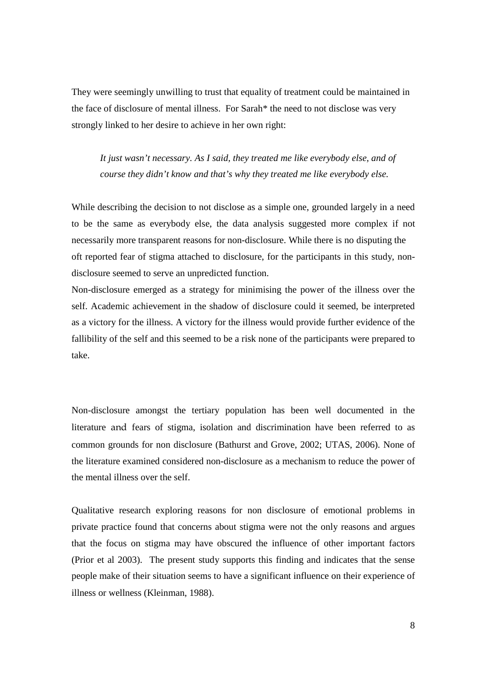They were seemingly unwilling to trust that equality of treatment could be maintained in the face of disclosure of mental illness. For Sarah\* the need to not disclose was very strongly linked to her desire to achieve in her own right:

*It just wasn't necessary. As I said, they treated me like everybody else, and of course they didn't know and that's why they treated me like everybody else.* 

While describing the decision to not disclose as a simple one, grounded largely in a need to be the same as everybody else, the data analysis suggested more complex if not necessarily more transparent reasons for non-disclosure. While there is no disputing the oft reported fear of stigma attached to disclosure, for the participants in this study, nondisclosure seemed to serve an unpredicted function.

Non-disclosure emerged as a strategy for minimising the power of the illness over the self. Academic achievement in the shadow of disclosure could it seemed, be interpreted as a victory for the illness. A victory for the illness would provide further evidence of the fallibility of the self and this seemed to be a risk none of the participants were prepared to take.

Non-disclosure amongst the tertiary population has been well documented in the literature and fears of stigma, isolation and discrimination have been referred to as common grounds for non disclosure (Bathurst and Grove, 2002; UTAS, 2006). None of the literature examined considered non-disclosure as a mechanism to reduce the power of the mental illness over the self.

Qualitative research exploring reasons for non disclosure of emotional problems in private practice found that concerns about stigma were not the only reasons and argues that the focus on stigma may have obscured the influence of other important factors (Prior et al 2003). The present study supports this finding and indicates that the sense people make of their situation seems to have a significant influence on their experience of illness or wellness (Kleinman, 1988).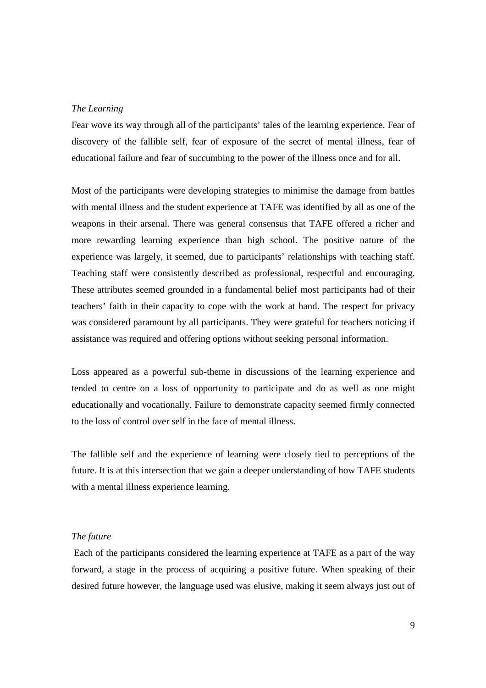#### *The Learning*

Fear wove its way through all of the participants' tales of the learning experience. Fear of discovery of the fallible self, fear of exposure of the secret of mental illness, fear of educational failure and fear of succumbing to the power of the illness once and for all.

Most of the participants were developing strategies to minimise the damage from battles with mental illness and the student experience at TAFE was identified by all as one of the weapons in their arsenal. There was general consensus that TAFE offered a richer and more rewarding learning experience than high school. The positive nature of the experience was largely, it seemed, due to participants' relationships with teaching staff. Teaching staff were consistently described as professional, respectful and encouraging. These attributes seemed grounded in a fundamental belief most participants had of their teachers' faith in their capacity to cope with the work at hand. The respect for privacy was considered paramount by all participants. They were grateful for teachers noticing if assistance was required and offering options without seeking personal information.

Loss appeared as a powerful sub-theme in discussions of the learning experience and tended to centre on a loss of opportunity to participate and do as well as one might educationally and vocationally. Failure to demonstrate capacity seemed firmly connected to the loss of control over self in the face of mental illness.

The fallible self and the experience of learning were closely tied to perceptions of the future. It is at this intersection that we gain a deeper understanding of how TAFE students with a mental illness experience learning.

#### *The future*

 Each of the participants considered the learning experience at TAFE as a part of the way forward, a stage in the process of acquiring a positive future. When speaking of their desired future however, the language used was elusive, making it seem always just out of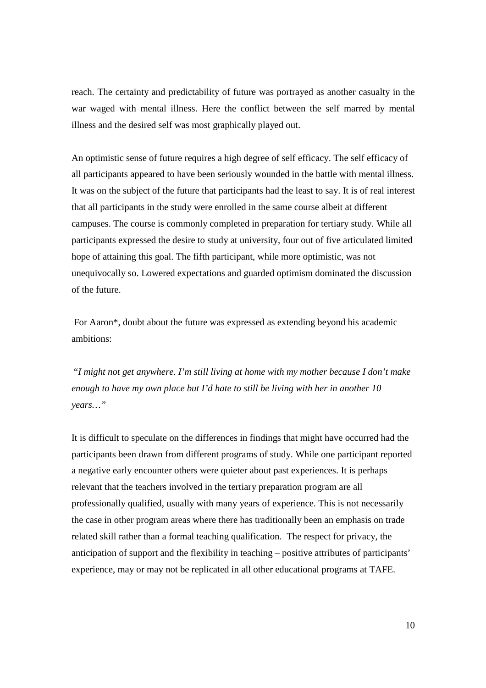reach. The certainty and predictability of future was portrayed as another casualty in the war waged with mental illness. Here the conflict between the self marred by mental illness and the desired self was most graphically played out.

An optimistic sense of future requires a high degree of self efficacy. The self efficacy of all participants appeared to have been seriously wounded in the battle with mental illness. It was on the subject of the future that participants had the least to say. It is of real interest that all participants in the study were enrolled in the same course albeit at different campuses. The course is commonly completed in preparation for tertiary study. While all participants expressed the desire to study at university, four out of five articulated limited hope of attaining this goal. The fifth participant, while more optimistic, was not unequivocally so. Lowered expectations and guarded optimism dominated the discussion of the future.

 For Aaron\*, doubt about the future was expressed as extending beyond his academic ambitions:

 "*I might not get anywhere. I'm still living at home with my mother because I don't make enough to have my own place but I'd hate to still be living with her in another 10 years…"*

It is difficult to speculate on the differences in findings that might have occurred had the participants been drawn from different programs of study. While one participant reported a negative early encounter others were quieter about past experiences. It is perhaps relevant that the teachers involved in the tertiary preparation program are all professionally qualified, usually with many years of experience. This is not necessarily the case in other program areas where there has traditionally been an emphasis on trade related skill rather than a formal teaching qualification. The respect for privacy, the anticipation of support and the flexibility in teaching – positive attributes of participants' experience, may or may not be replicated in all other educational programs at TAFE.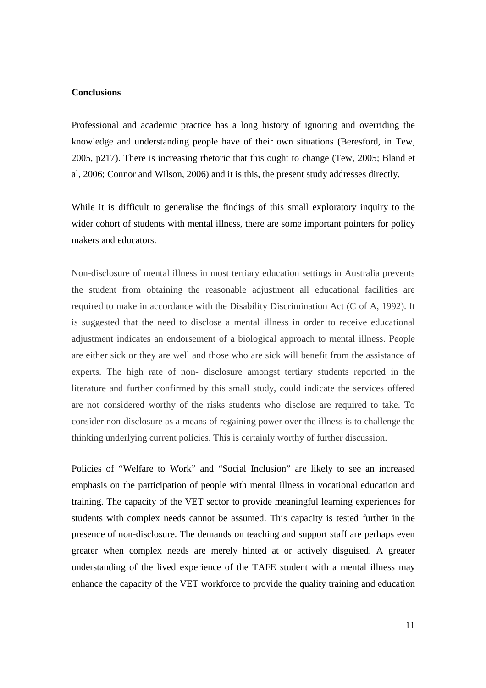## **Conclusions**

Professional and academic practice has a long history of ignoring and overriding the knowledge and understanding people have of their own situations (Beresford, in Tew, 2005, p217). There is increasing rhetoric that this ought to change (Tew, 2005; Bland et al, 2006; Connor and Wilson, 2006) and it is this, the present study addresses directly.

While it is difficult to generalise the findings of this small exploratory inquiry to the wider cohort of students with mental illness, there are some important pointers for policy makers and educators.

Non-disclosure of mental illness in most tertiary education settings in Australia prevents the student from obtaining the reasonable adjustment all educational facilities are required to make in accordance with the Disability Discrimination Act (C of A, 1992). It is suggested that the need to disclose a mental illness in order to receive educational adjustment indicates an endorsement of a biological approach to mental illness. People are either sick or they are well and those who are sick will benefit from the assistance of experts. The high rate of non- disclosure amongst tertiary students reported in the literature and further confirmed by this small study, could indicate the services offered are not considered worthy of the risks students who disclose are required to take. To consider non-disclosure as a means of regaining power over the illness is to challenge the thinking underlying current policies. This is certainly worthy of further discussion.

Policies of "Welfare to Work" and "Social Inclusion" are likely to see an increased emphasis on the participation of people with mental illness in vocational education and training. The capacity of the VET sector to provide meaningful learning experiences for students with complex needs cannot be assumed. This capacity is tested further in the presence of non-disclosure. The demands on teaching and support staff are perhaps even greater when complex needs are merely hinted at or actively disguised. A greater understanding of the lived experience of the TAFE student with a mental illness may enhance the capacity of the VET workforce to provide the quality training and education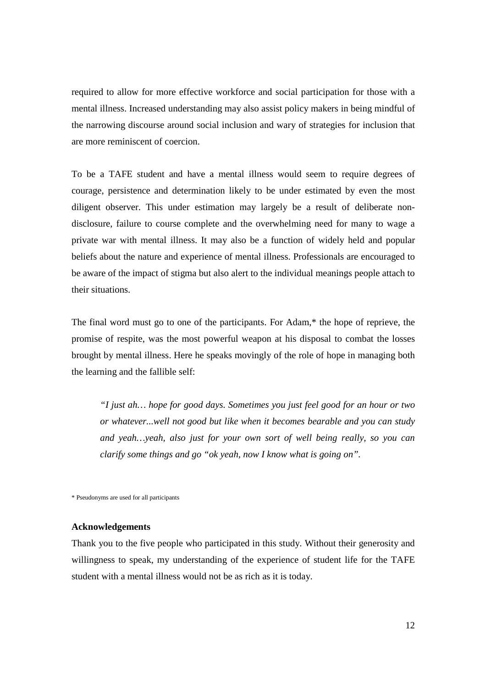required to allow for more effective workforce and social participation for those with a mental illness. Increased understanding may also assist policy makers in being mindful of the narrowing discourse around social inclusion and wary of strategies for inclusion that are more reminiscent of coercion.

To be a TAFE student and have a mental illness would seem to require degrees of courage, persistence and determination likely to be under estimated by even the most diligent observer. This under estimation may largely be a result of deliberate nondisclosure, failure to course complete and the overwhelming need for many to wage a private war with mental illness. It may also be a function of widely held and popular beliefs about the nature and experience of mental illness. Professionals are encouraged to be aware of the impact of stigma but also alert to the individual meanings people attach to their situations.

The final word must go to one of the participants. For Adam,\* the hope of reprieve, the promise of respite, was the most powerful weapon at his disposal to combat the losses brought by mental illness. Here he speaks movingly of the role of hope in managing both the learning and the fallible self:

*"I just ah… hope for good days. Sometimes you just feel good for an hour or two or whatever...well not good but like when it becomes bearable and you can study and yeah…yeah, also just for your own sort of well being really, so you can clarify some things and go "ok yeah, now I know what is going on".* 

\* Pseudonyms are used for all participants

#### **Acknowledgements**

Thank you to the five people who participated in this study. Without their generosity and willingness to speak, my understanding of the experience of student life for the TAFE student with a mental illness would not be as rich as it is today.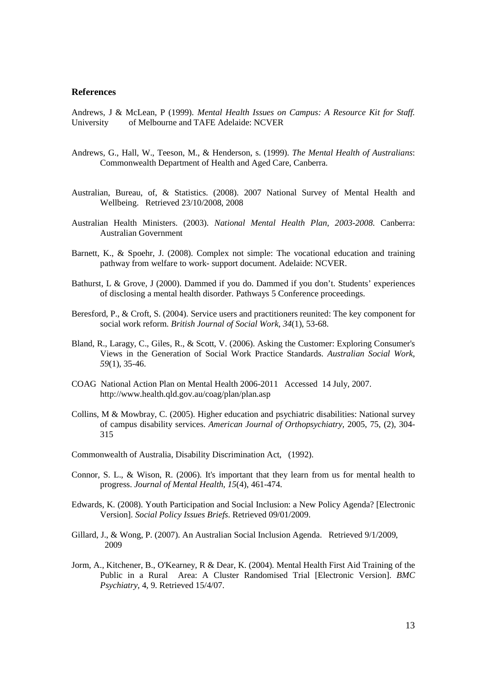## **References**

Andrews, J & McLean, P (1999). *Mental Health Issues on Campus: A Resource Kit for Staff.* University of Melbourne and TAFE Adelaide: NCVER

- Andrews, G., Hall, W., Teeson, M., & Henderson, s. (1999). *The Mental Health of Australians*: Commonwealth Department of Health and Aged Care, Canberra.
- Australian, Bureau, of, & Statistics. (2008). 2007 National Survey of Mental Health and Wellbeing. Retrieved 23/10/2008, 2008
- Australian Health Ministers. (2003). *National Mental Health Plan, 2003-2008*. Canberra: Australian Government
- Barnett, K., & Spoehr, J. (2008). Complex not simple: The vocational education and training pathway from welfare to work- support document. Adelaide: NCVER.
- Bathurst, L & Grove, J (2000). Dammed if you do. Dammed if you don't. Students' experiences of disclosing a mental health disorder. Pathways 5 Conference proceedings.
- Beresford, P., & Croft, S. (2004). Service users and practitioners reunited: The key component for social work reform. *British Journal of Social Work, 34*(1), 53-68.
- Bland, R., Laragy, C., Giles, R., & Scott, V. (2006). Asking the Customer: Exploring Consumer's Views in the Generation of Social Work Practice Standards. *Australian Social Work, 59*(1), 35-46.
- COAG National Action Plan on Mental Health 2006-2011 Accessed 14 July, 2007. http://www.health.qld.gov.au/coag/plan/plan.asp
- Collins, M & Mowbray, C. (2005). Higher education and psychiatric disabilities: National survey of campus disability services. *American Journal of Orthopsychiatry,* 2005, 75, (2), 304- 315
- Commonwealth of Australia, Disability Discrimination Act, (1992).
- Connor, S. L., & Wison, R. (2006). It's important that they learn from us for mental health to progress. *Journal of Mental Health, 15*(4), 461-474.
- Edwards, K. (2008). Youth Participation and Social Inclusion: a New Policy Agenda? [Electronic Version]. *Social Policy Issues Briefs*. Retrieved 09/01/2009.
- Gillard, J., & Wong, P. (2007). An Australian Social Inclusion Agenda. Retrieved 9/1/2009, 2009
- Jorm, A., Kitchener, B., O'Kearney, R & Dear, K. (2004). Mental Health First Aid Training of the Public in a Rural Area: A Cluster Randomised Trial [Electronic Version]. *BMC Psychiatry*, 4, 9. Retrieved 15/4/07.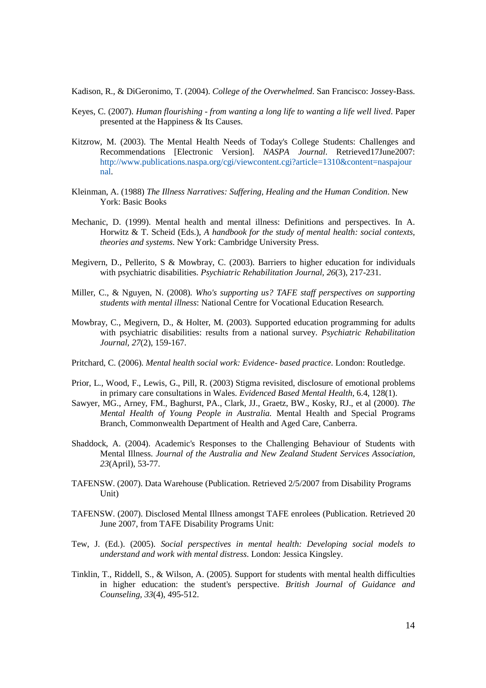Kadison, R., & DiGeronimo, T. (2004). *College of the Overwhelmed*. San Francisco: Jossey-Bass.

- Keyes, C. (2007). *Human flourishing from wanting a long life to wanting a life well lived*. Paper presented at the Happiness & Its Causes.
- Kitzrow, M. (2003). The Mental Health Needs of Today's College Students: Challenges and Recommendations [Electronic Version]. *NASPA Journal*. Retrieved17June2007: http://www.publications.naspa.org/cgi/viewcontent.cgi?article=1310&content=naspajour nal.
- Kleinman, A. (1988) *The Illness Narratives: Suffering, Healing and the Human Condition*. New York: Basic Books
- Mechanic, D. (1999). Mental health and mental illness: Definitions and perspectives. In A. Horwitz & T. Scheid (Eds.), *A handbook for the study of mental health: social contexts, theories and systems*. New York: Cambridge University Press.
- Megivern, D., Pellerito, S & Mowbray, C. (2003). Barriers to higher education for individuals with psychiatric disabilities. *Psychiatric Rehabilitation Journal, 26*(3), 217-231.
- Miller, C., & Nguyen, N. (2008). *Who's supporting us? TAFE staff perspectives on supporting students with mental illness*: National Centre for Vocational Education Research.
- Mowbray, C., Megivern, D., & Holter, M. (2003). Supported education programming for adults with psychiatric disabilities: results from a national survey. *Psychiatric Rehabilitation Journal, 27*(2), 159-167.
- Pritchard, C. (2006). *Mental health social work: Evidence- based practice*. London: Routledge.
- Prior, L., Wood, F., Lewis, G., Pill, R. (2003) Stigma revisited, disclosure of emotional problems in primary care consultations in Wales. *Evidenced Based Mental Health*, 6.4, 128(1).
- Sawyer, MG., Arney, FM., Baghurst, PA., Clark, JJ., Graetz, BW., Kosky, RJ., et al (2000). *The Mental Health of Young People in Australia.* Mental Health and Special Programs Branch, Commonwealth Department of Health and Aged Care, Canberra.
- Shaddock, A. (2004). Academic's Responses to the Challenging Behaviour of Students with Mental Illness. *Journal of the Australia and New Zealand Student Services Association, 23*(April), 53-77.
- TAFENSW. (2007). Data Warehouse (Publication. Retrieved 2/5/2007 from Disability Programs Unit)
- TAFENSW. (2007). Disclosed Mental Illness amongst TAFE enrolees (Publication. Retrieved 20 June 2007, from TAFE Disability Programs Unit:
- Tew, J. (Ed.). (2005). *Social perspectives in mental health: Developing social models to understand and work with mental distress*. London: Jessica Kingsley.
- Tinklin, T., Riddell, S., & Wilson, A. (2005). Support for students with mental health difficulties in higher education: the student's perspective. *British Journal of Guidance and Counseling, 33*(4), 495-512.